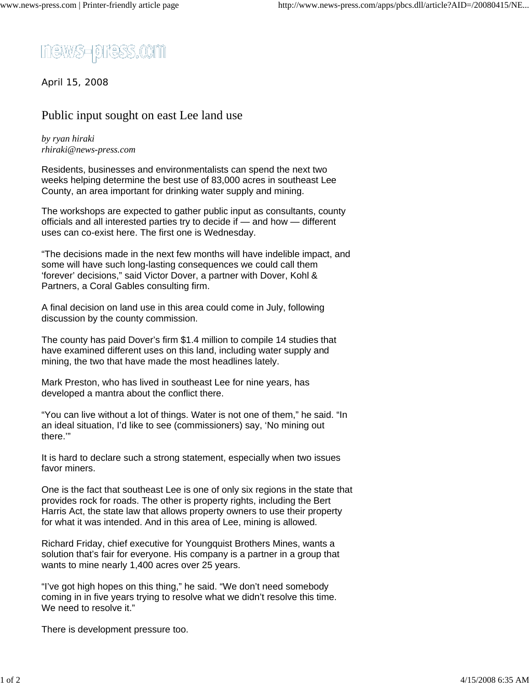

April 15, 2008

## Public input sought on east Lee land use

*by ryan hiraki rhiraki@news-press.com*

Residents, businesses and environmentalists can spend the next two weeks helping determine the best use of 83,000 acres in southeast Lee County, an area important for drinking water supply and mining.

The workshops are expected to gather public input as consultants, county officials and all interested parties try to decide if — and how — different uses can co-exist here. The first one is Wednesday.

"The decisions made in the next few months will have indelible impact, and some will have such long-lasting consequences we could call them 'forever' decisions," said Victor Dover, a partner with Dover, Kohl & Partners, a Coral Gables consulting firm.

A final decision on land use in this area could come in July, following discussion by the county commission.

The county has paid Dover's firm \$1.4 million to compile 14 studies that have examined different uses on this land, including water supply and mining, the two that have made the most headlines lately.

Mark Preston, who has lived in southeast Lee for nine years, has developed a mantra about the conflict there.

"You can live without a lot of things. Water is not one of them," he said. "In an ideal situation, I'd like to see (commissioners) say, 'No mining out there.'"

It is hard to declare such a strong statement, especially when two issues favor miners.

One is the fact that southeast Lee is one of only six regions in the state that provides rock for roads. The other is property rights, including the Bert Harris Act, the state law that allows property owners to use their property for what it was intended. And in this area of Lee, mining is allowed.

Richard Friday, chief executive for Youngquist Brothers Mines, wants a solution that's fair for everyone. His company is a partner in a group that wants to mine nearly 1,400 acres over 25 years.

"I've got high hopes on this thing," he said. "We don't need somebody coming in in five years trying to resolve what we didn't resolve this time. We need to resolve it."

There is development pressure too.